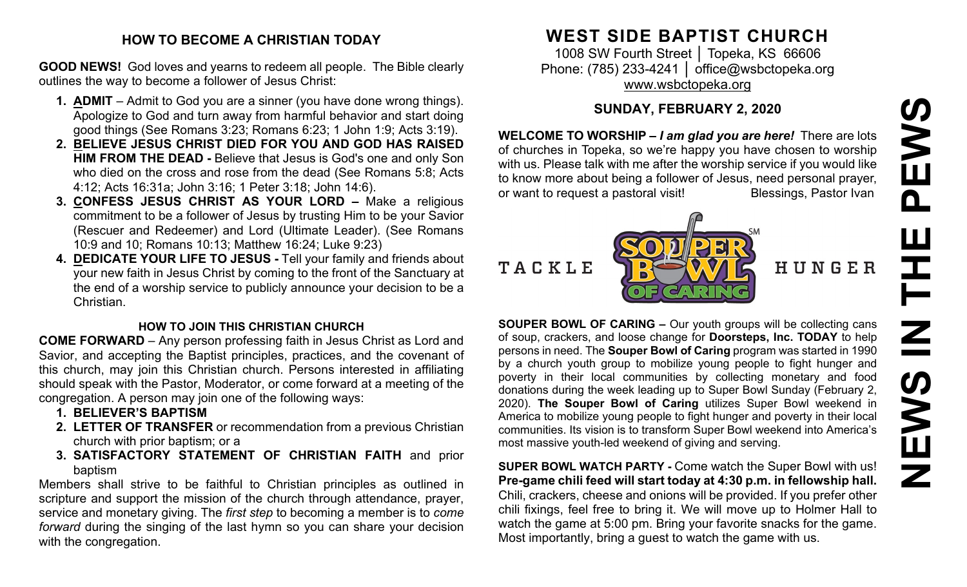# **NEWS IN THE PEWS**EWS  $\mathbf{\Omega}$  $\overline{\mathsf{z}}$ **SANEWS**

#### **HOW TO BECOME A CHRISTIAN TODAY**

**GOOD NEWS!** God loves and yearns to redeem all people. The Bible clearly outlines the way to become a follower of Jesus Christ:

- **1. ADMIT** Admit to God you are a sinner (you have done wrong things). Apologize to God and turn away from harmful behavior and start doing good things (See Romans 3:23; Romans 6:23; 1 John 1:9; Acts 3:19).
- **2. BELIEVE JESUS CHRIST DIED FOR YOU AND GOD HAS RAISED HIM FROM THE DEAD -** Believe that Jesus is God's one and only Son who died on the cross and rose from the dead (See Romans 5:8; Acts 4:12; Acts 16:31a; John 3:16; 1 Peter 3:18; John 14:6).
- **3. CONFESS JESUS CHRIST AS YOUR LORD –** Make a religious commitment to be a follower of Jesus by trusting Him to be your Savior (Rescuer and Redeemer) and Lord (Ultimate Leader). (See Romans 10:9 and 10; Romans 10:13; Matthew 16:24; Luke 9:23)
- **4. DEDICATE YOUR LIFE TO JESUS -** Tell your family and friends about your new faith in Jesus Christ by coming to the front of the Sanctuary at the end of a worship service to publicly announce your decision to be a Christian.

#### **HOW TO JOIN THIS CHRISTIAN CHURCH**

**COME FORWARD** – Any person professing faith in Jesus Christ as Lord and Savior, and accepting the Baptist principles, practices, and the covenant of this church, may join this Christian church. Persons interested in affiliating should speak with the Pastor, Moderator, or come forward at a meeting of the congregation. A person may join one of the following ways:

- **1. BELIEVER'S BAPTISM**
- **2. LETTER OF TRANSFER** or recommendation from a previous Christian church with prior baptism; or a
- **3. SATISFACTORY STATEMENT OF CHRISTIAN FAITH** and prior baptism

Members shall strive to be faithful to Christian principles as outlined in scripture and support the mission of the church through attendance, prayer, service and monetary giving. The *first step* to becoming a member is to *come forward* during the singing of the last hymn so you can share your decision with the congregation.

# **WEST SIDE BAPTIST CHURCH**

1008 SW Fourth Street | Topeka, KS 66606 Phone: (785) 233-4241 │ [office@wsbctopeka.org](mailto:office@wsbctopeka.org) [www.wsbctopeka.org](http://www.wsbctopeka.org/)

# **SUNDAY, FEBRUARY 2, 2020**

**WELCOME TO WORSHIP –** *I am glad you are here!* There are lots of churches in Topeka, so we're happy you have chosen to worship with us. Please talk with me after the worship service if you would like to know more about being a follower of Jesus, need personal prayer, or want to request a pastoral visit! Blessings, Pastor Ivan



HUNGER

**SOUPER BOWL OF CARING –** Our youth groups will be collecting cans of soup, crackers, and loose change for **Doorsteps, Inc. TODAY** to help persons in need. The **Souper Bowl of Caring** program was started in 1990 by a church youth group to mobilize young people to fight hunger and poverty in their local communities by collecting monetary and food donations during the week leading up to Super Bowl Sunday (February 2, 2020). **The Souper Bowl of Caring** utilizes Super Bowl weekend in America to mobilize young people to fight hunger and poverty in their local communities. Its vision is to transform Super Bowl weekend into America's most massive youth-led weekend of giving and serving.

**SUPER BOWL WATCH PARTY -** Come watch the Super Bowl with us! **Pre-game chili feed will start today at 4:30 p.m. in fellowship hall.** Chili, crackers, cheese and onions will be provided. If you prefer other chili fixings, feel free to bring it. We will move up to Holmer Hall to watch the game at 5:00 pm. Bring your favorite snacks for the game. Most importantly, bring a guest to watch the game with us.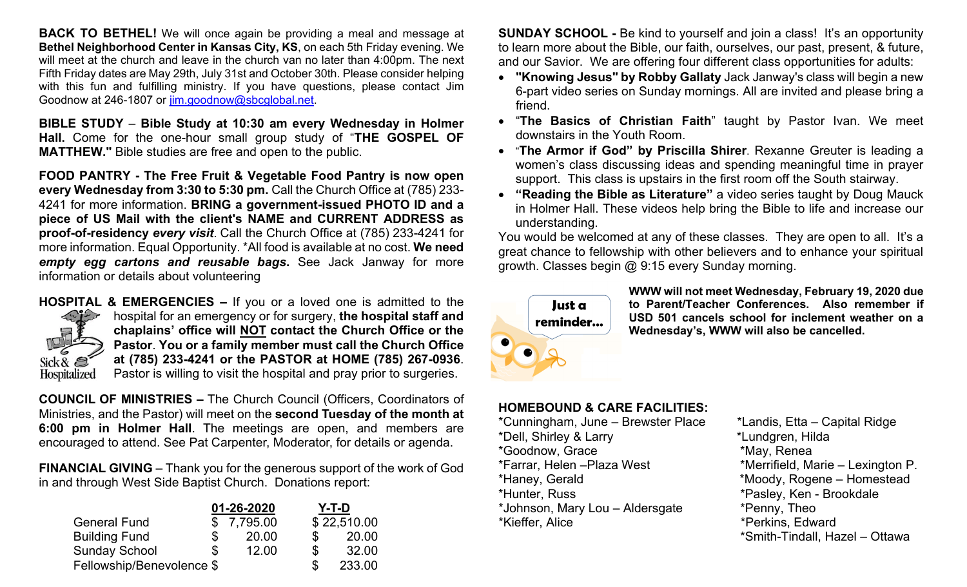**BACK TO BETHEL!** We will once again be providing a meal and message at **Bethel Neighborhood Center in Kansas City, KS**, on each 5th Friday evening. We will meet at the church and leave in the church van no later than 4:00pm. The next Fifth Friday dates are May 29th, July 31st and October 30th. Please consider helping with this fun and fulfilling ministry. If you have questions, please contact Jim Goodnow at 246-1807 or [jim.goodnow@sbcglobal.net.](mailto:jim.goodnow@sbcglobal.net)

**BIBLE STUDY** – **Bible Study at 10:30 am every Wednesday in Holmer Hall.** Come for the one-hour small group study of "**THE GOSPEL OF MATTHEW."** Bible studies are free and open to the public.

**FOOD PANTRY - The Free Fruit & Vegetable Food Pantry is now open every Wednesday from 3:30 to 5:30 pm.** Call the Church Office at (785) 233- 4241 for more information. **BRING a government-issued PHOTO ID and a piece of US Mail with the client's NAME and CURRENT ADDRESS as proof-of-residency** *every visit*. Call the Church Office at (785) 233-4241 for more information. Equal Opportunity. \*All food is available at no cost. **We need**  *empty egg cartons and reusable bags***.** See Jack Janway for more information or details about volunteering



**HOSPITAL & EMERGENCIES –** If you or a loved one is admitted to the hospital for an emergency or for surgery, **the hospital staff and chaplains' office will NOT contact the Church Office or the Pastor**. **You or a family member must call the Church Office at (785) 233-4241 or the PASTOR at HOME (785) 267-0936**. Pastor is willing to visit the hospital and pray prior to surgeries.

**COUNCIL OF MINISTRIES –** The Church Council (Officers, Coordinators of Ministries, and the Pastor) will meet on the **second Tuesday of the month at 6:00 pm in Holmer Hall**. The meetings are open, and members are encouraged to attend. See Pat Carpenter, Moderator, for details or agenda.

**FINANCIAL GIVING** – Thank you for the generous support of the work of God in and through West Side Baptist Church. Donations report:

|                           | 01-26-2020 |            | $Y-T-D$ |             |
|---------------------------|------------|------------|---------|-------------|
| <b>General Fund</b>       |            | \$7,795.00 |         | \$22,510.00 |
| <b>Building Fund</b>      |            | 20.00      | \$.     | 20.00       |
| <b>Sunday School</b>      | \$         | 12.00      | \$      | 32.00       |
| Fellowship/Benevolence \$ |            |            |         | 233.00      |

**SUNDAY SCHOOL -** Be kind to yourself and join a class! It's an opportunity to learn more about the Bible, our faith, ourselves, our past, present, & future, and our Savior. We are offering four different class opportunities for adults:

- **"Knowing Jesus" by Robby Gallaty** Jack Janway's class will begin a new 6-part video series on Sunday mornings. All are invited and please bring a friend.
- "**The Basics of Christian Faith**" taught by Pastor Ivan. We meet downstairs in the Youth Room.
- "**The Armor if God" by Priscilla Shirer**. Rexanne Greuter is leading a women's class discussing ideas and spending meaningful time in prayer support. This class is upstairs in the first room off the South stairway.
- **"Reading the Bible as Literature"** a video series taught by Doug Mauck in Holmer Hall. These videos help bring the Bible to life and increase our understanding.

You would be welcomed at any of these classes. They are open to all. It's a great chance to fellowship with other believers and to enhance your spiritual growth. Classes begin @ 9:15 every Sunday morning.



**WWW will not meet Wednesday, February 19, 2020 due to Parent/Teacher Conferences. Also remember if USD 501 cancels school for inclement weather on a Wednesday's, WWW will also be cancelled.** 

#### **HOMEBOUND & CARE FACILITIES:**

\*Cunningham, June – Brewster Place \*Landis, Etta – Capital Ridge \*Dell, Shirley & Larry \*Lundgren, Hilda \*Goodnow, Grace \*May, Renea \*Farrar, Helen –Plaza West \*Merrifield, Marie – Lexington P. \*Haney, Gerald \*Moody, Rogene – Homestead \*Hunter, Russ \*Pasley, Ken - Brookdale \*Johnson, Mary Lou – Aldersgate \*Penny, Theo \*Kieffer, Alice \*Perkins, Edward

\*Smith-Tindall, Hazel – Ottawa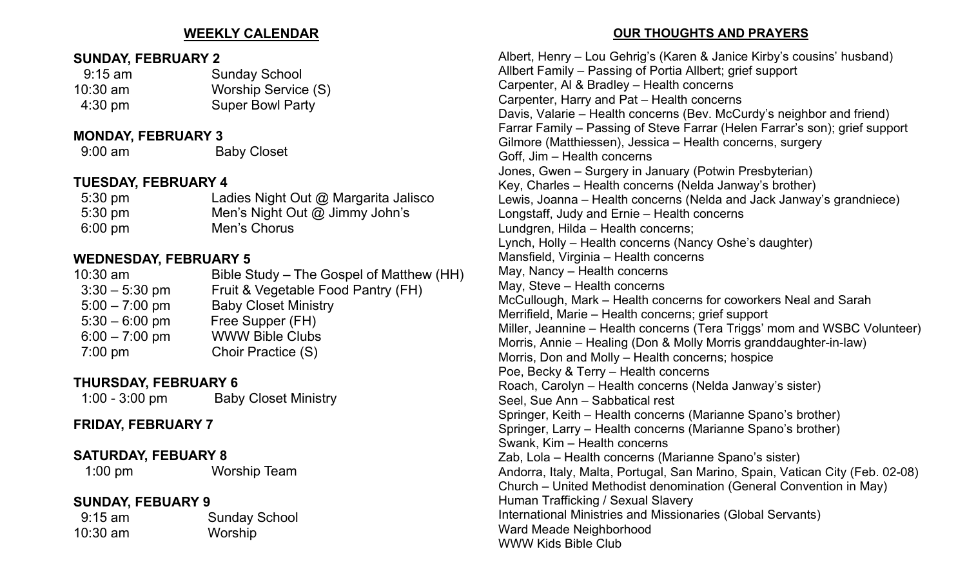#### **WEEKLY CALENDAR**

#### **SUNDAY, FEBRUARY 2**

| $9:15$ am         | <b>Sunday School</b>    |  |
|-------------------|-------------------------|--|
| $10:30$ am        | Worship Service (S)     |  |
| $4:30 \text{ pm}$ | <b>Super Bowl Party</b> |  |

#### **MONDAY, FEBRUARY 3**

9:00 am Baby Closet

#### **TUESDAY, FEBRUARY 4**

| $5:30 \text{ pm}$ | Ladies Night Out @ Margarita Jalisco |
|-------------------|--------------------------------------|
| $5:30 \text{ pm}$ | Men's Night Out $@$ Jimmy John's     |
| $6:00 \text{ pm}$ | Men's Chorus                         |

## **WEDNESDAY, FEBRUARY 5**

| $10:30$ am       | Bible Study – The Gospel of Matthew (HH) |
|------------------|------------------------------------------|
| $3:30 - 5:30$ pm | Fruit & Vegetable Food Pantry (FH)       |
| $5:00 - 7:00$ pm | <b>Baby Closet Ministry</b>              |
| $5:30 - 6:00$ pm | Free Supper (FH)                         |
| $6:00 - 7:00$ pm | <b>WWW Bible Clubs</b>                   |
| $7:00$ pm        | Choir Practice (S)                       |
|                  |                                          |

# **THURSDAY, FEBRUARY 6**

| $1:00 - 3:00$ pm | <b>Baby Closet Ministry</b> |
|------------------|-----------------------------|
|------------------|-----------------------------|

# **FRIDAY, FEBRUARY 7**

### **SATURDAY, FEBUARY 8**

1:00 pm Worship Team

# **SUNDAY, FEBUARY 9**

10:30 am Worship

9:15 am Sunday School

#### **OUR THOUGHTS AND PRAYERS**

Albert, Henry – Lou Gehrig's (Karen & Janice Kirby's cousins' husband) Allbert Family – Passing of Portia Allbert; grief support Carpenter, Al & Bradley – Health concerns Carpenter, Harry and Pat – Health concerns Davis, Valarie – Health concerns (Bev. McCurdy's neighbor and friend) Farrar Family – Passing of Steve Farrar (Helen Farrar's son); grief support Gilmore (Matthiessen), Jessica – Health concerns, surgery Goff, Jim – Health concerns Jones, Gwen – Surgery in January (Potwin Presbyterian) Key, Charles – Health concerns (Nelda Janway's brother) Lewis, Joanna – Health concerns (Nelda and Jack Janway's grandniece) Longstaff, Judy and Ernie – Health concerns Lundgren, Hilda – Health concerns; Lynch, Holly – Health concerns (Nancy Oshe's daughter) Mansfield, Virginia – Health concerns May, Nancy – Health concerns May, Steve – Health concerns McCullough, Mark – Health concerns for coworkers Neal and Sarah Merrifield, Marie – Health concerns; grief support Miller, Jeannine – Health concerns (Tera Triggs' mom and WSBC Volunteer) Morris, Annie – Healing (Don & Molly Morris granddaughter-in-law) Morris, Don and Molly – Health concerns; hospice Poe, Becky & Terry – Health concerns Roach, Carolyn – Health concerns (Nelda Janway's sister) Seel, Sue Ann – Sabbatical rest Springer, Keith – Health concerns (Marianne Spano's brother) Springer, Larry – Health concerns (Marianne Spano's brother) Swank, Kim – Health concerns Zab, Lola – Health concerns (Marianne Spano's sister) Andorra, Italy, Malta, Portugal, San Marino, Spain, Vatican City (Feb. 02-08) Church – United Methodist denomination (General Convention in May) Human Trafficking / Sexual Slavery International Ministries and Missionaries (Global Servants) Ward Meade Neighborhood WWW Kids Bible Club